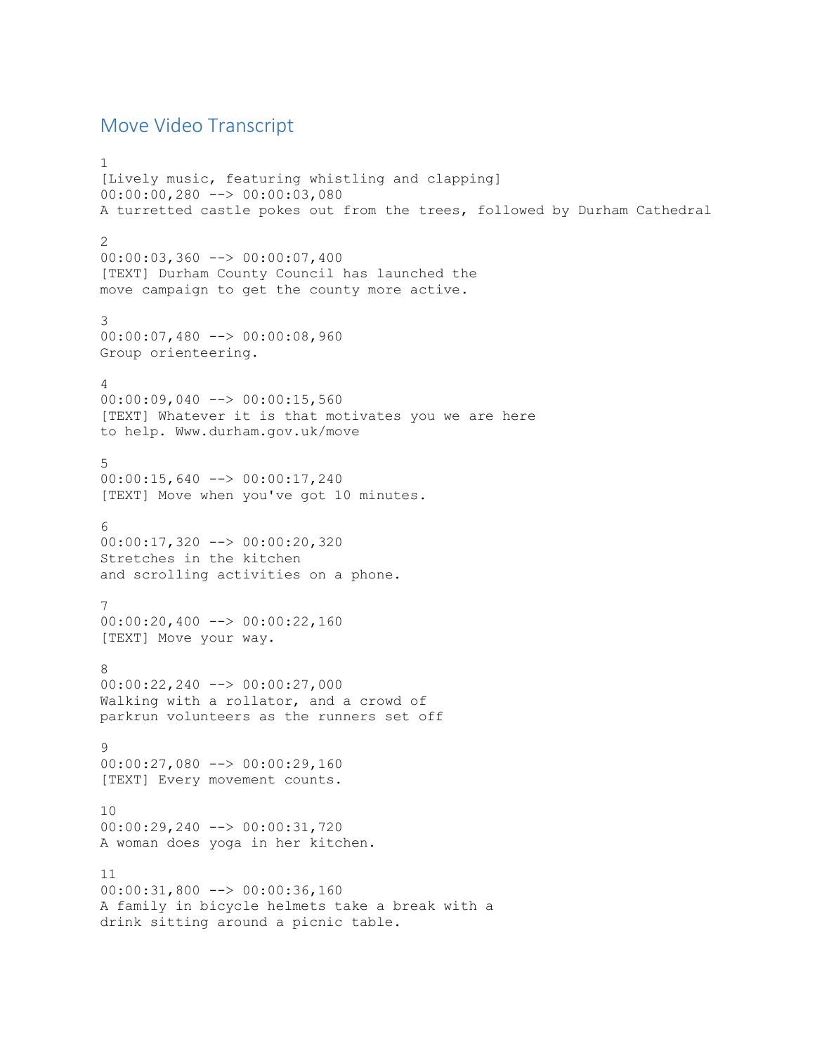## Move Video Transcript

```
1
[Lively music, featuring whistling and clapping]
00:00:00,280 --> 00:00:03,080
A turretted castle pokes out from the trees, followed by Durham Cathedral
2
00:00:03,360 --> 00:00:07,400
[TEXT] Durham County Council has launched the
move campaign to get the county more active.
3
00:00:07,480 --> 00:00:08,960
Group orienteering.
4
00:00:09,040 --> 00:00:15,560
[TEXT] Whatever it is that motivates you we are here
to help. Www.durham.gov.uk/move
5
00:00:15,640 --> 00:00:17,240
[TEXT] Move when you've got 10 minutes.
6
00:00:17,320 --> 00:00:20,320
Stretches in the kitchen
and scrolling activities on a phone.
7
00:00:20,400 --> 00:00:22,160[TEXT] Move your way.
8
00:00:22,240 --> 00:00:27,000
Walking with a rollator, and a crowd of
parkrun volunteers as the runners set off
\mathsf{Q}00:00:27,080 --> 00:00:29,160
[TEXT] Every movement counts.
10
00:00:29,240 --> 00:00:31,720
A woman does yoga in her kitchen.
11
00:00:31,800 --> 00:00:36,160
A family in bicycle helmets take a break with a
drink sitting around a picnic table.
```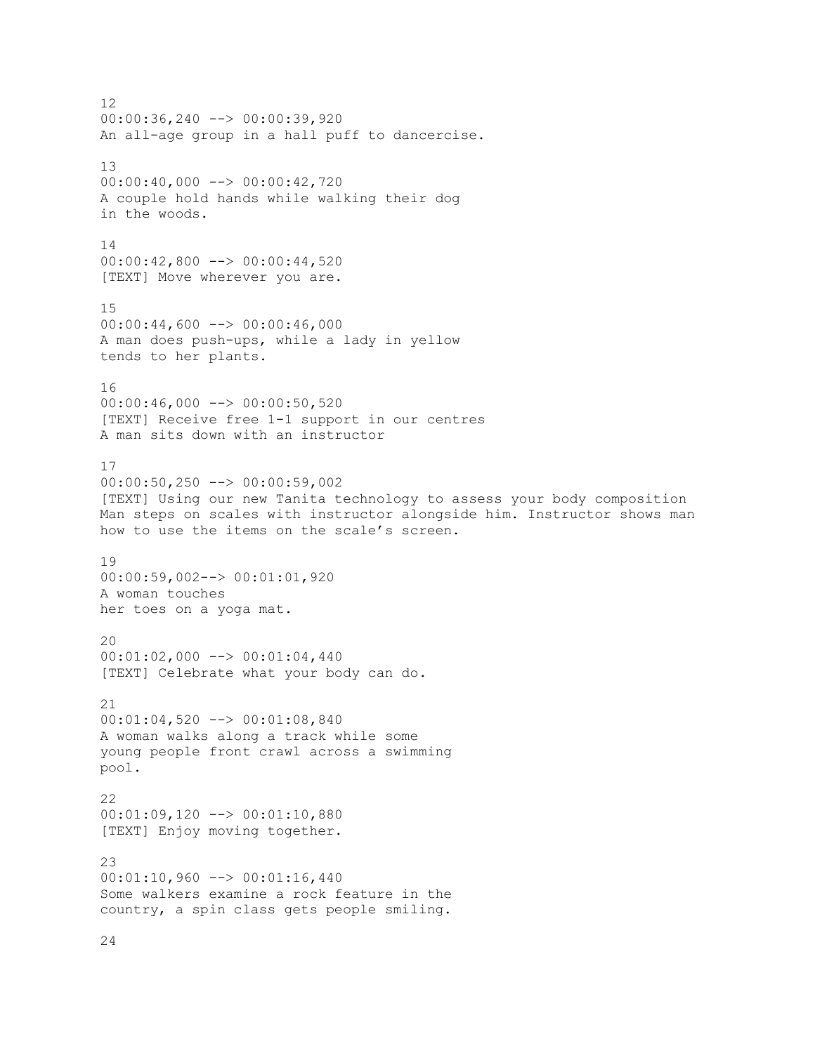12 00:00:36,240 --> 00:00:39,920 An all-age group in a hall puff to dancercise. 13 00:00:40,000 --> 00:00:42,720 A couple hold hands while walking their dog in the woods. 14 00:00:42,800 --> 00:00:44,520 [TEXT] Move wherever you are. 15  $00:00:44,600$  -->  $00:00:46,000$ A man does push-ups, while a lady in yellow tends to her plants. 16  $00:00:46,000$  -->  $00:00:50,520$ [TEXT] Receive free 1-1 support in our centres A man sits down with an instructor 17 00:00:50,250 --> 00:00:59,002 [TEXT] Using our new Tanita technology to assess your body composition Man steps on scales with instructor alongside him. Instructor shows man how to use the items on the scale's screen. 19 00:00:59,002--> 00:01:01,920 A woman touches her toes on a yoga mat. 20  $00:01:02,000$  -->  $00:01:04,440$ [TEXT] Celebrate what your body can do. 21 00:01:04,520 --> 00:01:08,840 A woman walks along a track while some young people front crawl across a swimming pool. 22 00:01:09,120 --> 00:01:10,880 [TEXT] Enjoy moving together. 23 00:01:10,960 --> 00:01:16,440 Some walkers examine a rock feature in the country, a spin class gets people smiling.